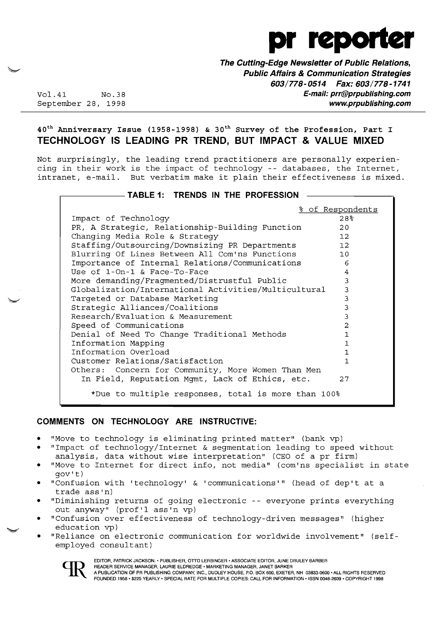

**The Cutting-Edge Newsletter of Public Relations, Public Affairs & Communication Strategies 603/778-0514 Fax: 603/778-1741**  Vol.41 No.38 **E-mail: prr@prpublishing.com**  September 28, 1998 **www.prpublishing.com** 

# $40<sup>th</sup>$  Anniversary Issue (1958-1998) & 30<sup>th</sup> Survey of the Profession, Part I **TECHNOLOGY IS LEADING PR TREND, BUT IMPACT & VALUE MIXED**

Not surprisingly, the leading trend practitioners are personally experiencing in their work is the impact of technology -- databases, the Internet, intranet, e-mail. But verbatim make it plain their effectiveness is mixed.

# $-$  TABLE 1: **TRENDS IN THE PROFESSION**

|                                                      | % of Respondents  |
|------------------------------------------------------|-------------------|
| Impact of Technology                                 | 28 <sup>o</sup>   |
| PR, A Strategic, Relationship-Building Function      | 20                |
| Changing Media Role & Strategy                       | $12 \overline{ }$ |
| Staffing/Outsourcing/Downsizing PR Departments       | 12                |
| Blurring Of Lines Between All Com'ns Functions       | 10                |
| Importance of Internal Relations/Communications      | 6                 |
| Use of $1$ -On-1 & Face-To-Face                      | 4                 |
| More demanding/Fragmented/Distrustful Public         | 3                 |
| Globalization/International Activities/Multicultural | 3                 |
| Targeted or Database Marketing                       | 3                 |
| Strategic Alliances/Coalitions                       | 3                 |
| Research/Evaluation & Measurement                    | 3                 |
| Speed of Communications                              | 2                 |
| Denial of Need To Change Traditional Methods         | 1                 |
| Information Mapping                                  | $\mathbf{1}$      |
| Information Overload                                 | $\mathbf{1}$      |
| Customer Relations/Satisfaction                      | $\mathbf{1}$      |
| Others: Concern for Community, More Women Than Men   |                   |
| In Field, Reputation Mgmt, Lack of Ethics, etc.      | 27                |
| *Due to multiple responses, total is more than 100%  |                   |

## **COMMENTS ON TECHNOLOGY ARE INSTRUCTIVE:**

- "Move to technology is eliminating printed matter" (bank vp)
- "Impact of technology/Internet & seqmentation leading to speed without
- analysis, data without wise interpretation" (CEO of a pr firm)
- "Move to Internet for direct info, not media" (com'ns specialist in state gov't)
- "Confusion with 'technology' & 'communications'" (head of dep't at a trade ass'n)
- • "Diminishing returns of going electronic -- everyone prints everything out anyway" (prof'l ass'n vp)
- "Confusion over effectiveness of technology-driven messages" (higher education vp)
- "Reliance on electronic communication for worldwide involvement" (selfemployed consultant)



 EDITOR, PATRICK JACKSON .• PUBLISHER, OTTO LERBINGER • ASSOCIATE EDITOR, JUNE DRULEY BARBER A PUBLICATION OF PR PUBLISHING COMPANY, INC., DUDLEY HOUSE, P.O. BOX 600, EXETER, NH 03833-0600 . ALL RIGHTS RESERVED FOUNDED 1958' \$225 YEARLY· SPECIAL RATE FOR MULTIPLE COPIES: CALL FOR INFORMATION ·ISSN 0048-2609' COPYRIGHT 1998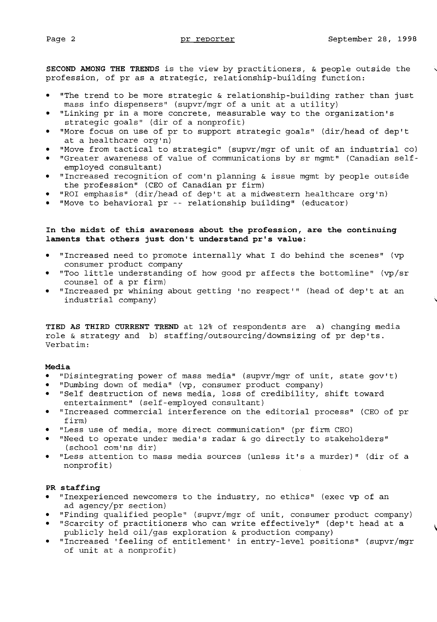**SECOND AMONG THE TRENDS** is the view by practitioners, & people outside the , profession, of pr as a strategic, relationship-building function:

- "The trend to be more strategic & relationship-building rather than just mass info dispensers" (supvr/mgr of a unit at a utility)
- "Linking pr in a more concrete, measurable way to the organization's strategic goals" (dir of a nonprofit)
- "More focus on use of pr to support strategic goals" (dir/head of dep't at a healthcare org'n)
- "Move from tactical to strategic" (supvr/mgr of unit of an industrial co)
- • "Greater awareness of value of communications by sr mgmt" (Canadian selfemployed consultant)
- • "Increased recognition of com'n planning & issue mgmt by people outside the profession" (CEO of Canadian pr firm)
- "ROI emphasis" (dir/head of dep't at a midwestern healthcare org'n)
- "Move to behavioral pr -- relationship building" (educator)

## **In the midst of this awareness about the profession, are the continuing laments that others just don't understand pr's value:**

- "Increased need to promote internally what I do behind the scenes" (vp consumer product company
- "Too little understanding of how good pr affects the bottomline" (vp/sr counsel of a pr firm)
- • "Increased pr whining about getting 'no respect'" (head of dep't at an industrial company)

**TIED AS THIRD CURRENT TREND** at 12% of respondents are a) changing media role & strategy and b) staffing/outsourcing/downsizing of pr dep'ts. Verbatim:

### **Media**

- "Disintegrating power of mass media" (supvr/mgr of unit, state gov't)
- "Dumbing down of media" (vp, consumer product company)
- • "Self destruction of news media, loss of credibility, shift toward entertainment" (self-employed consultant)
- "Increased commercial interference on the editorial process" (CEO of pr firm)
- "Less use of media, more direct communication" (pr firm CEO)
- • "Need to operate under media's radar & go directly to stakeholders" (school com'ns dir)
- "Less attention to mass media sources (unless it's a murder)" (dir of a nonprofit)

### **PR staffing**

- "Inexperienced newcomers to the industry, no ethics" (exec vp of an ad agency/pr section)
- "Finding qualified people" (supvr/mgr of unit, consumer product company)
- • "Scarcity of practitioners who can write effectively" (dep't head at a publicly held oil/gas exploration & production company)
- • "Increased 'feeling of entitlement' in entry-level positions" (supvr/mgr of unit at a nonprofit)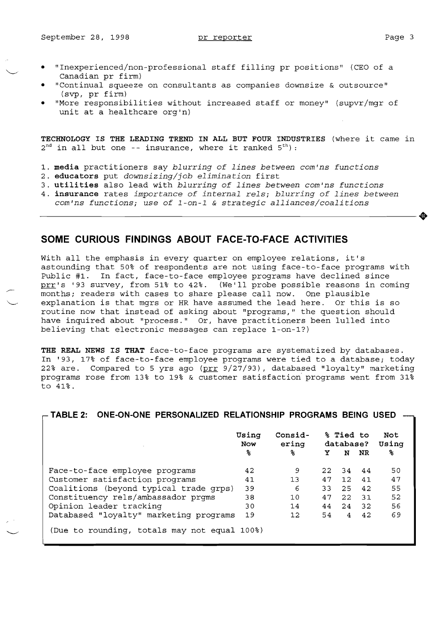- "Inexperienced/non-professional staff filling pr positions" (CEO of a Canadian pr firm)
- • "Continual squeeze on consultants as companies downsize & outsource" (svp, pr firm)
- "More responsibilities without increased staff or money" (supvr/mgr of unit at a healthcare org'n)

**TECHNOLOGY IS THE LEADING TREND IN ALL BUT FOUR INDUSTRIES** (where it came in  $2<sup>nd</sup>$  in all but one -- insurance, where it ranked  $5<sup>th</sup>$ ):

- 1. **media** practitioners say *blurring of lines between com'ns functions*
- 2. **educators** put *downsizing/job elimination* first
- 3. **utilities** also lead with *blurring of lines between com'ns functions*
- 4. **insurance** rates *importance of internal rels; blurring of lines between com'ns functions; use of l-on-l* & *strategic alliances/coalitions*

# **SOME CURIOUS FINDINGS ABOUT FACE-TO-FACE ACTIVITIES**

with all the emphasis in every quarter on employee relations, it's astounding that 50% of respondents are not using face-to-face programs with Public #1. In fact, face-to-face employee programs have declined since pris "1." In 1999, 1999 to 1999 omployed programs have decirmed binder products in the set of the set of the s months; readers with cases to share please call now. One plausible explanation is that mgrs or HR have assumed the lead here. Or this is so routine now that instead of asking about "programs," the question should have inquired about "process." Or, have practitioners been lulled into believing that electronic messages can replace 1-on-1?)

**THE REAL NEWS IS THAT** face-to-face programs are systematized by databases. In '93, 17% of face-to-face employee programs were tied to a database; today 22% are. Compared to 5 yrs ago (prr 9/27/93), databased "loyalty" marketing programs rose from 13% to 19% & customer satisfaction programs went from 31% to 41~.

|                                              | Using<br><b>Now</b><br>ჯ | Consid-<br>ering<br>ዱ | Y   | % Tied to<br>database?<br>N | NR    | Not<br>Using<br>℁ |
|----------------------------------------------|--------------------------|-----------------------|-----|-----------------------------|-------|-------------------|
|                                              |                          |                       |     |                             |       |                   |
| Face-to-face employee programs               | 42                       | 9                     | 22. |                             | 34 44 | 50                |
| Customer satisfaction programs               | 41                       | 13                    | 47  | 12 <sub>1</sub>             | 41    | 47                |
| Coalitions (beyond typical trade grps)       | 39                       | 6                     | 33  | 2.5                         | 42    | 55                |
| Constituency rels/ambassador prgms           | 38                       | 10                    | 47  | 22                          | -31   | 52                |
| Opinion leader tracking                      | 30                       | 14                    | 44  | 24                          | 32    | 56                |
| Databased "loyalty" marketing programs       | 19                       | $12 \overline{ }$     | 54  | $\overline{4}$              | 42    | 69                |
| (Due to rounding, totals may not equal 100%) |                          |                       |     |                             |       |                   |

**TABLE 2: ONE-ON-ONE PERSONALIZED RELATIONSHIP PROGRAMS BEING USED**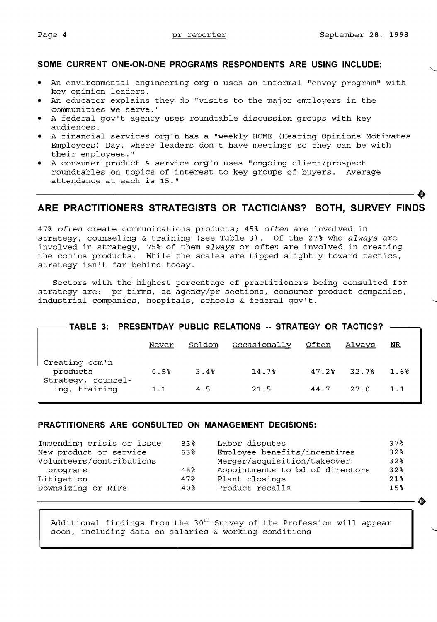## **SOME CURRENT ONE-ON-ONE PROGRAMS RESPONDENTS ARE USING INCLUDE:**

- An environmental engineering org'n uses an informal "envoy program" with key opinion leaders.
- • An educator explains they do "visits to the major employers in the communities we serve."
- A federal gov't agency uses roundtable discussion groups with key audiences.
- A financial services org'n has a "weekly HOME (Hearing Opinions Motivates Employees) Day, where leaders don't have meetings so they can be with their employees."
- • A consumer product & service org'n uses "ongoing client/prospect roundtables on topics of interest to key groups of buyers. Average attendance at each is 15." Found tables on topics of interest to key groups of buyers. Average<br>attendance at each is 15."

# **ARE PRACTITIONERS STRATEGISTS OR TACTICIANS? BOTH, SURVEY FINDS**

*47% often* create communications products; 45% *often* are involved in strategy, counseling & training (see Table 3). Of the 27% who *always* are involved in strategy, 75% of them *always* or *often* are involved in creating the com'ns products. While the scales are tipped slightly toward tactics, strategy isn't far behind today.

Sectors with the highest percentage of practitioners being consulted for strategy are: pr firms, ad agency/pr sections, consumer product companies, industrial companies, hospitals, schools & federal gov't.

# **TABLE 3: PRESENTDAY PUBLIC RELATIONS -- STRATEGY OR TACTICS?**

|                                                  | Never | Seldom | Occasionally | Often | Always        | $NR$    |
|--------------------------------------------------|-------|--------|--------------|-------|---------------|---------|
| Creating com'n<br>products<br>Strategy, counsel- | 0.5%  | 3.4%   | 14.7%        |       | $47.2%$ 32.7% | $1.6\%$ |
| ing, training                                    | 1.1   | 4.5    | 21.5         | 44.7  | 27.0          | 1.1     |

## **PRACTITIONERS ARE CONSULTED ON MANAGEMENT DECISIONS:**

| 83% |                                 | 37%                                            |
|-----|---------------------------------|------------------------------------------------|
| 63% |                                 | 32%                                            |
|     | Merger/acquisition/takeover     | 32%                                            |
| 48% | Appointments to bd of directors | 32%                                            |
| 47% | Plant closings                  | 21%                                            |
| 40% | Product recalls                 | 15 <sup>8</sup>                                |
|     |                                 | ⅏                                              |
|     |                                 | Labor disputes<br>Employee benefits/incentives |

Additional findings from the  $30<sup>th</sup>$  Survey of the Profession will appear soon, including data on salaries & working conditions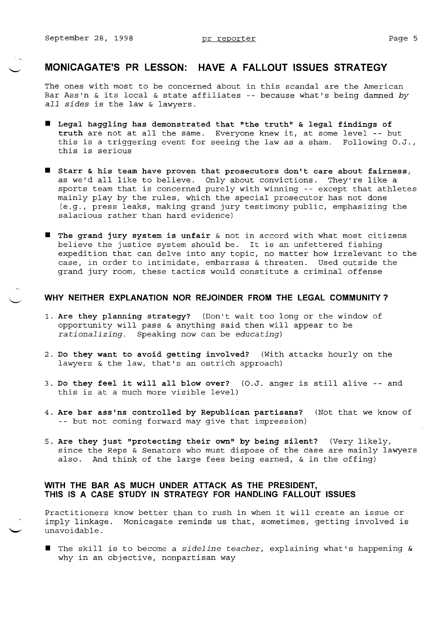-,

# **MONICAGATE'S PR LESSON: HAVE A FALLOUT ISSUES STRATEGY**

The ones with most to be concerned about in this scandal are the American Bar Ass'n & its local & state affiliates -- because what's being damned by *all sides* is the law & lawyers.

- **• Legal haggling has demonstrated that "the truth" & legal findings of truth** are not at all the same. Everyone knew it, at some level -- but this is a triggering event for seeing the law as a sham. Following O.J., this is serious
- $\blacksquare$  Starr & his team have proven that prosecutors don't care about fairness, as we'd all like to believe. Only about convictions. They're like a sports team that is concerned purely with winning -- except that athletes mainly play by the rules, which the special prosecutor has not done (e.g., press leaks, making grand jury testimony public, emphasizing the salacious rather than hard evidence)
- **The grand jury system is unfair** & not in accord with what most citizens believe the justice system should be. It is an unfettered fishing expedition that can delve into any topic, no matter how irrelevant to the case, in order to intimidate, embarrass & threaten. Used outside the grand jury room, these tactics would constitute a criminal offense

### **WHY NEITHER EXPLANATION NOR REJOINDER FROM THE LEGAL COMMUNITY?**

- 1. **Are they planning strategy?** (Don't wait too long or the window of opportunity will pass & anything said then will appear to be *rationalizing.* Speaking now can be *educating)*
- 2. **Do they want to avoid getting involved?** (With attacks hourly on the lawyers & the law, that's an ostrich approach)
- 3. **Do they feel it will all blow over?** (O.J. anger is still alive -- and this is at a much more visible level)
- 4. **Are bar ass'ns controlled by Republican partisans?** (Not that we know of -- but not coming forward may give that impression)
- 5. **Are they just "protecting their own" by being silent?** (Very likely, since the Reps & Senators who must dispose of the case are mainly lawyers also. And think of the large fees being earned, & in the offing)

## **WITH THE BAR AS MUCH UNDER ATTACK AS THE PRESIDENT, THIS IS A CASE STUDY IN STRATEGY FOR HANDLING FALLOUT ISSUES**

Practitioners know better than to rush in when it will create an issue or imply linkage. Monicagate reminds us that, sometimes, getting involved is unavoidable.

■ The skill is to become a *sideline teacher*, explaining what's happening & why in an objective, nonpartisan way